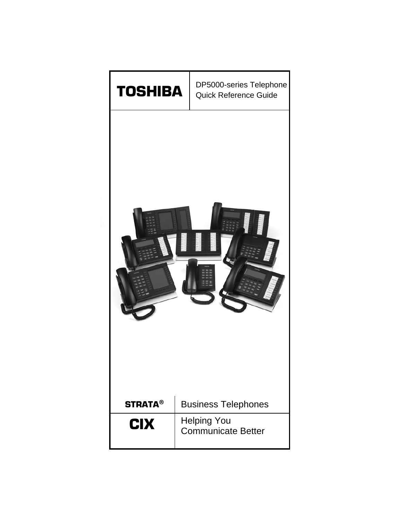

# DP5000-series Telephone Quick Reference Guide

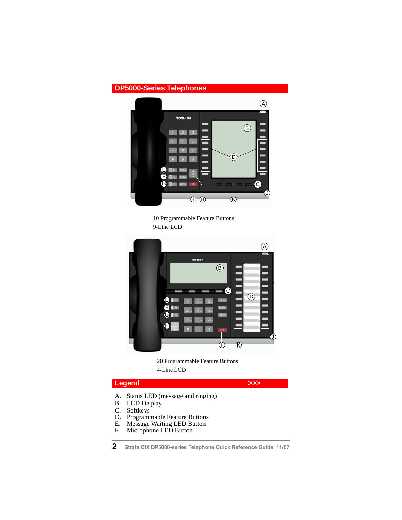# **DP5000-Series Telephones**



10 Programmable Feature Buttons 9-Line LCD



20 Programmable Feature Buttons 4-Line LCD

# Legend **Department of the South Street Section**

- A. Status LED (message and ringing)<br>B. LCD Display
- B. LCD Display<br>C. Softkeys
- C. Softkeys<br>D. Programi
- D. Programmable Feature Buttons<br>E. Message Waiting LED Button
- E. Message Waiting LED Button<br>F. Microphone LED Button
- Microphone LED Button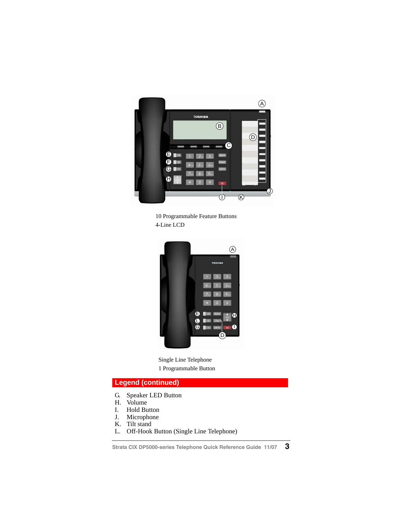

10 Programmable Feature Buttons 4-Line LCD



Single Line Telephone 1 Programmable Button

# **Legend (continued)**

- G. Speaker LED Button
- H. Volume
- I. Hold Button
- J. Microphone
- K. Tilt stand
- L. Off-Hook Button (Single Line Telephone)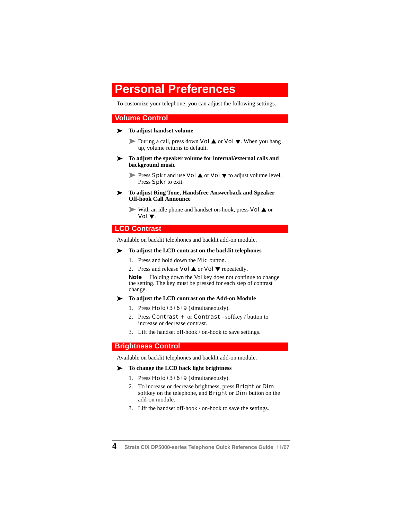# **Personal Preferences**

To customize your telephone, you can adjust the following settings.

# **Volume Control**

#### $\blacktriangleright$  To adjust handset volume

During a call, press down **Vol**  $\triangle$  or **Vol**  $\nabla$ . When you hang up, volume returns to default.

- ³ **To adjust the speaker volume for internal/external calls and background music**
	- **Press Spkr and use Vol**  $\triangle$  **or Vol**  $\nabla$  to adjust volume level. Press Spkr to exit.
- ³ **To adjust Ring Tone, Handsfree Answerback and Speaker Off-hook Call Announce**

With an idle phone and handset on-hook, press  $Vol \triangle$  or Vol W.

## **LCD Contrast**

Available on backlit telephones and backlit add-on module.

#### ³ **To adjust the LCD contrast on the backlit telephones**

- 1. Press and hold down the **Mic** button.
- 2. Press and release **Vol**  $\triangle$  or **Vol**  $\nabla$  repeatedly.

**Note** Holding down the Vol key does not continue to change the setting. The key must be pressed for each step of contrast change.

³ **To adjust the LCD contrast on the Add-on Module**

- 1. Press  $Hold+3+6+9$  (simultaneously).
- 2. Press **Contrast +** or **Contrast -** softkey / button to increase or decrease contrast.
- 3. Lift the handset off-hook / on-hook to save settings.

## **Brightness Control**

Available on backlit telephones and backlit add-on module.

#### ³ **To change the LCD back light brightness**

- 1. Press  $Hold+3+6+9$  (simultaneously).
- 2. To increase or decrease brightness, press **Bright** or **Dim** softkey on the telephone, and **Bright** or **Dim** button on the add-on module.
- 3. Lift the handset off-hook / on-hook to save the settings.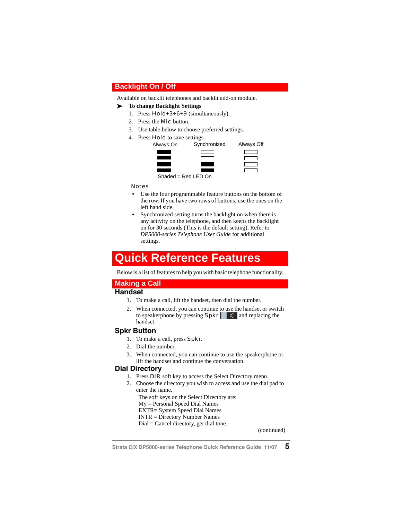# **Backlight On / Off**

Available on backlit telephones and backlit add-on module.

#### ³ **To change Backlight Settings**

- 1. Press  $Hold+3+6+9$  (simultaneously).
- 2. Press the **Mic** button.
- 3. Use table below to choose preferred settings.
- 4. Press Hold to save settings.



#### Notes

- **•** Use the four programmable feature buttons on the bottom of the row. If you have two rows of buttons, use the ones on the left hand side.
- **•** Synchronized setting turns the backlight on when there is any activity on the telephone, and then keeps the backlight on for 30 seconds (This is the default setting). Refer to *DP5000-series Telephone User Guide* for additional settings.

# **Quick Reference Features**

Below is a list of features to help you with basic telephone functionality.

# **Making a Call**

# **Handset**

- 1. To make a call, lift the handset, then dial the number.
- 2. When connected, you can continue to use the handset or switch to speakerphone by pressing  $Spr$  and replacing the handset.

### **Spkr Button**

- 1. To make a call, press **Spkr**.
- 2. Dial the number.
- 3. When connected, you can continue to use the speakerphone or lift the handset and continue the conversation.

### **Dial Directory**

- 1. Press **DIR** soft key to access the Select Directory menu.
- 2. Choose the directory you wish to access and use the dial pad to enter the name.

The soft keys on the Select Directory are: My = Personal Speed Dial Names EXTR= System Speed Dial Names INTR = Directory Number Names Dial = Cancel directory, get dial tone.

(continued)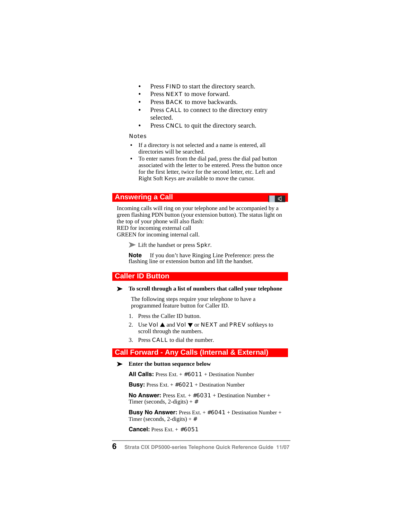- **•** Press FIND to start the directory search.
- Press **NEXT** to move forward.
- Press **BACK** to move backwards.
- Press **CALL** to connect to the directory entry selected.
- Press **CNCL** to quit the directory search.

#### Notes

- **•** If a directory is not selected and a name is entered, all directories will be searched.
- **•** To enter names from the dial pad, press the dial pad button associated with the letter to be entered. Press the button once for the first letter, twice for the second letter, etc. Left and Right Soft Keys are available to move the cursor.

▐█▗▅▜▁▏

# **Answering a Call**

Incoming calls will ring on your telephone and be accompanied by a green flashing PDN button (your extension button). The status light on the top of your phone will also flash: RED for incoming external call

GREEN for incoming internal call.

Lift the handset or press Spkr.

**Note** If you don't have Ringing Line Preference: press the flashing line or extension button and lift the handset.

### **Caller ID Button**

#### ³ **To scroll through a list of numbers that called your telephone**

The following steps require your telephone to have a programmed feature button for Caller ID.

- 1. Press the Caller ID button.
- 2. Use Vol  $\triangle$  and Vol  $\nabla$  or NEXT and PREV softkeys to scroll through the numbers.
- 3. Press CALL to dial the number.

## **Call Forward - Any Calls (Internal & External)**

#### ³ **Enter the button sequence below**

**All Calls:** Press Ext. + #6011 + Destination Number

**Busy:** Press Ext. + #6021 + Destination Number

**No Answer:** Press Ext. + #6031 + Destination Number + Timer (seconds,  $2$ -digits) +  $\#$ 

**Busy No Answer:** Press Ext. + #6041 + Destination Number + Timer (seconds,  $2$ -digits) +  $\#$ 

**Cancel:** Press Ext. + #6051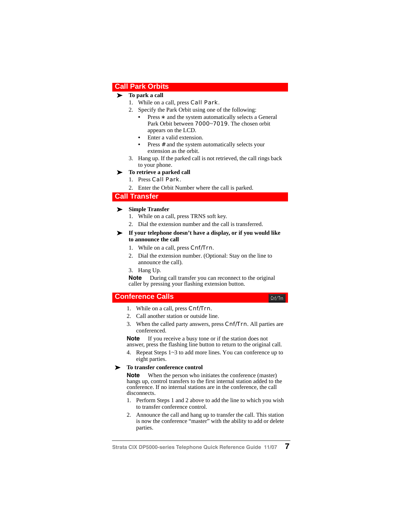### **Call Park Orbits**

#### $\blacktriangleright$  To park a call

- 1. While on a call, press **Call Park**.
- 2. Specify the Park Orbit using one of the following:
	- **•** Press \* and the system automatically selects a General Park Orbit between 7000~7019. The chosen orbit appears on the LCD.
	- **•** Enter a valid extension.
	- Press # and the system automatically selects your extension as the orbit.
- 3. Hang up. If the parked call is not retrieved, the call rings back to your phone.

#### $\blacktriangleright$  To retrieve a parked call

- 1. Press Call Park.
- 2. Enter the Orbit Number where the call is parked.

#### **Call Transfer**

#### ³ **Simple Transfer**

- 1. While on a call, press TRNS soft key.
- 2. Dial the extension number and the call is transferred.

#### ³ **If your telephone doesn't have a display, or if you would like to announce the call**

- 1. While on a call, press Cnf/Trn.
- 2. Dial the extension number. (Optional: Stay on the line to announce the call).
- 3. Hang Up.

**Note** During call transfer you can reconnect to the original caller by pressing your flashing extension button.

## **Conference Calls**

- 1. While on a call, press **Cnf/Trn**.
- 2. Call another station or outside line.
- 3. When the called party answers, press Cnf/Trn. All parties are conferenced.

**Note** If you receive a busy tone or if the station does not answer, press the flashing line button to return to the original call.

4. Repeat Steps 1~3 to add more lines. You can conference up to eight parties.

#### ³ **To transfer conference control**

**Note** When the person who initiates the conference (master) hangs up, control transfers to the first internal station added to the conference. If no internal stations are in the conference, the call disconnects.

- 1. Perform Steps 1 and 2 above to add the line to which you wish to transfer conference control.
- 2. Announce the call and hang up to transfer the call. This station is now the conference "master" with the ability to add or delete parties.

 $Cnt/Trn$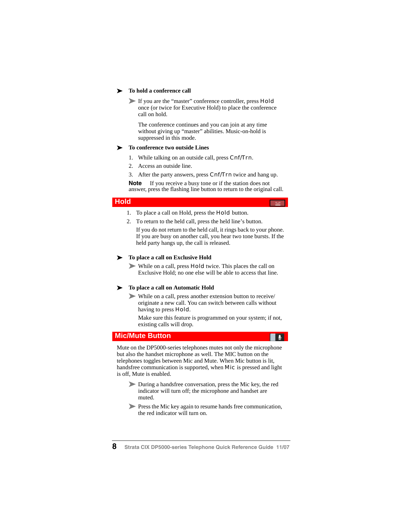#### ³ **To hold a conference call**

If you are the "master" conference controller, press **Hold** once (or twice for Executive Hold) to place the conference call on hold.

The conference continues and you can join at any time without giving up "master" abilities. Music-on-hold is suppressed in this mode.

#### ³ **To conference two outside Lines**

- 1. While talking on an outside call, press Cnf/Trn.
- 2. Access an outside line.
- 3. After the party answers, press **Cnf/Trn** twice and hang up.

**Note** If you receive a busy tone or if the station does not answer, press the flashing line button to return to the original call.

### **Hold**

- 1. To place a call on Hold, press the **Hold** button.
- 2. To return to the held call, press the held line's button.

If you do not return to the held call, it rings back to your phone. If you are busy on another call, you hear two tone bursts. If the held party hangs up, the call is released.

#### $\blacktriangleright$  To place a call on Exclusive Hold

While on a call, press **Hold** twice. This places the call on Exclusive Hold; no one else will be able to access that line.

#### $\blacktriangleright$  To place a call on Automatic Hold

³ While on a call, press another extension button to receive/ originate a new call. You can switch between calls without having to press Hold.

Make sure this feature is programmed on your system; if not, existing calls will drop.

#### **Mic/Mute Button**

Mute on the DP5000-series telephones mutes not only the microphone but also the handset microphone as well. The MIC button on the telephones toggles between Mic and Mute. When Mic button is lit, handsfree communication is supported, when Mic is pressed and light is off, Mute is enabled.

- ³ During a handsfree conversation, press the Mic key, the red indicator will turn off; the microphone and handset are muted.
- **Press the Mic key again to resume hands free communication,** the red indicator will turn on.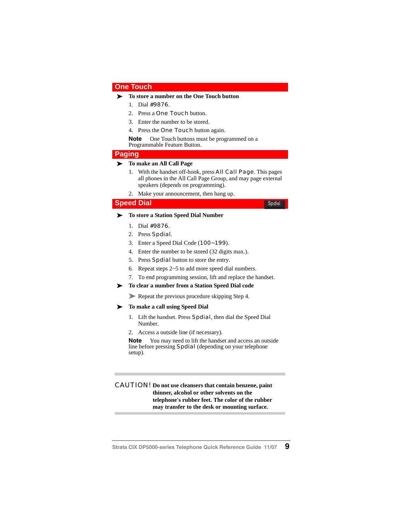#### **One Touch**

#### ³ **To store a number on the One Touch button**

- 1. Dial #9876.
- 2. Press a **One Touch** button.
- 3. Enter the number to be stored.
- 4. Press the **One Touch** button again.

**Note** One Touch buttons must be programmed on a Programmable Feature Button.

#### **Paging**

#### ³ **To make an All Call Page**

1. With the handset off-hook, press **All Call Page**. This pages all phones in the All Call Page Group, and may page external speakers (depends on programming).

Spdial

2. Make your announcement, then hang up.

#### **Speed Dial**

³ **To store a Station Speed Dial Number**

- 1. Dial #9876.
- 2. Press Spdial.
- 3. Enter a Speed Dial Code (100~199).
- 4. Enter the number to be stored (32 digits max.).
- 5. Press **Spdial** button to store the entry.
- 6. Repeat steps 2~5 to add more speed dial numbers.
- 7. To end programming session, lift and replace the handset.

#### ³ **To clear a number from a Station Speed Dial code**

Repeat the previous procedure skipping Step 4.

#### ³ **To make a call using Speed Dial**

- 1. Lift the handset. Press Spdial, then dial the Speed Dial Number.
- 2. Access a outside line (if necessary).

**Note** You may need to lift the handset and access an outside line before pressing Spdial (depending on your telephone setup).

#### CAUTION! **Do not use cleansers that contain benzene, paint thinner, alcohol or other solvents on the telephone's rubber feet. The color of the rubber may transfer to the desk or mounting surface.**